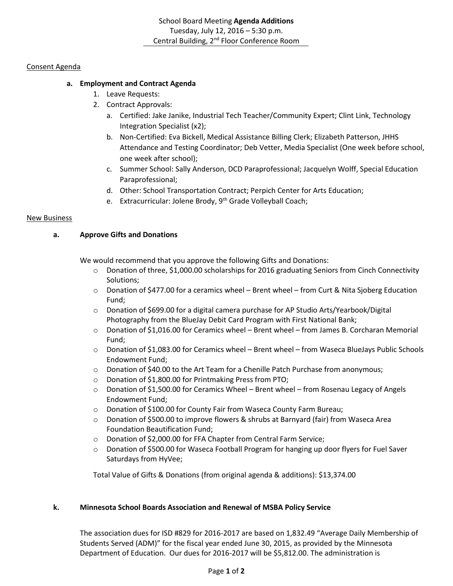## Consent Agenda

# **a. Employment and Contract Agenda**

- 1. Leave Requests:
	- 2. Contract Approvals:
		- a. Certified: Jake Janike, Industrial Tech Teacher/Community Expert; Clint Link, Technology Integration Specialist (x2);
		- b. Non-Certified: Eva Bickell, Medical Assistance Billing Clerk; Elizabeth Patterson, JHHS Attendance and Testing Coordinator; Deb Vetter, Media Specialist (One week before school, one week after school);
		- c. Summer School: Sally Anderson, DCD Paraprofessional; Jacquelyn Wolff, Special Education Paraprofessional;
		- d. Other: School Transportation Contract; Perpich Center for Arts Education;
		- e. Extracurricular: Jolene Brody, 9<sup>th</sup> Grade Volleyball Coach;

## New Business

## **a. Approve Gifts and Donations**

We would recommend that you approve the following Gifts and Donations:

- o Donation of three, \$1,000.00 scholarships for 2016 graduating Seniors from Cinch Connectivity Solutions;
- o Donation of \$477.00 for a ceramics wheel Brent wheel from Curt & Nita Sjoberg Education Fund;
- o Donation of \$699.00 for a digital camera purchase for AP Studio Arts/Yearbook/Digital Photography from the BlueJay Debit Card Program with First National Bank;
- o Donation of \$1,016.00 for Ceramics wheel Brent wheel from James B. Corcharan Memorial Fund;
- o Donation of \$1,083.00 for Ceramics wheel Brent wheel from Waseca BlueJays Public Schools Endowment Fund;
- o Donation of \$40.00 to the Art Team for a Chenille Patch Purchase from anonymous;
- o Donation of \$1,800.00 for Printmaking Press from PTO;
- o Donation of \$1,500.00 for Ceramics Wheel Brent wheel from Rosenau Legacy of Angels Endowment Fund;
- o Donation of \$100.00 for County Fair from Waseca County Farm Bureau;
- $\circ$  Donation of \$500.00 to improve flowers & shrubs at Barnyard (fair) from Waseca Area Foundation Beautification Fund;
- o Donation of \$2,000.00 for FFA Chapter from Central Farm Service;
- $\circ$  Donation of \$500.00 for Waseca Football Program for hanging up door flyers for Fuel Saver Saturdays from HyVee;

Total Value of Gifts & Donations (from original agenda & additions): \$13,374.00

## **k. Minnesota School Boards Association and Renewal of MSBA Policy Service**

The association dues for ISD #829 for 2016-2017 are based on 1,832.49 "Average Daily Membership of Students Served (ADM)" for the fiscal year ended June 30, 2015, as provided by the Minnesota Department of Education. Our dues for 2016-2017 will be \$5,812.00. The administration is